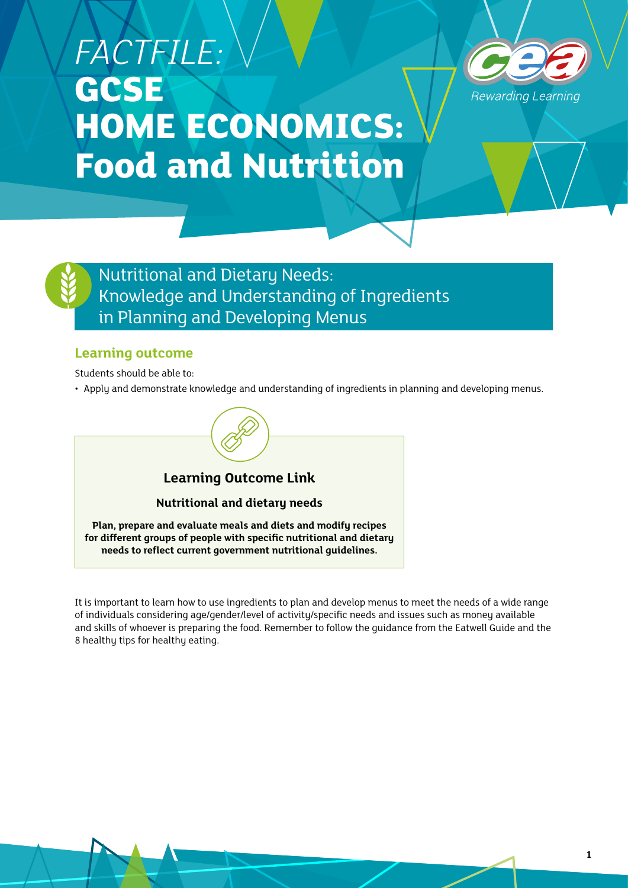# *FACTFILE:*  **GCSE HOME ECONOMICS: Food and Nutrition**





Nutritional and Dietary Needs: Knowledge and Understanding of Ingredients in Planning and Developing Menus

#### **Learning outcome**

Students should be able to:

• Apply and demonstrate knowledge and understanding of ingredients in planning and developing menus.



It is important to learn how to use ingredients to plan and develop menus to meet the needs of a wide range of individuals considering age/gender/level of activity/specific needs and issues such as money available and skills of whoever is preparing the food. Remember to follow the guidance from the Eatwell Guide and the 8 healthy tips for healthy eating.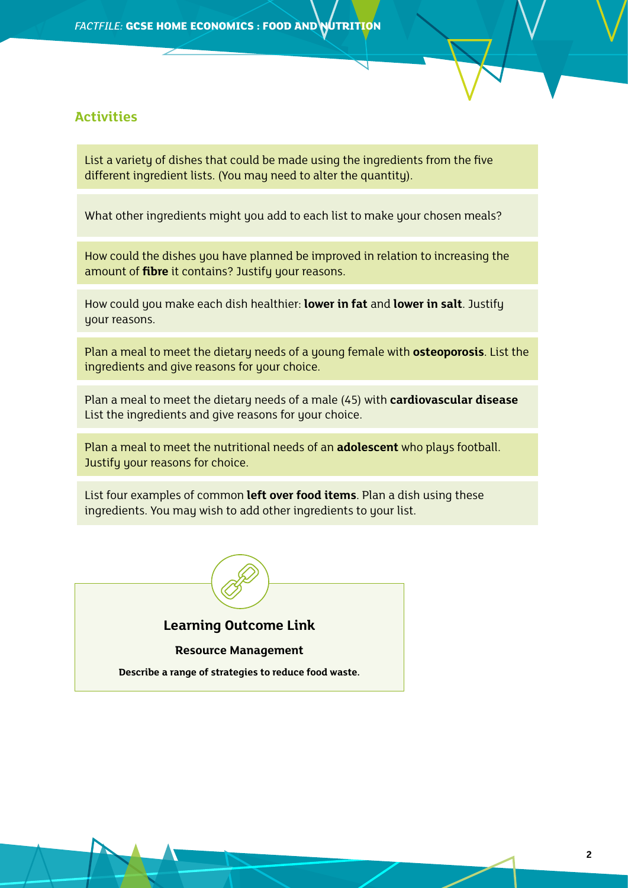#### **Activities**

List a variety of dishes that could be made using the ingredients from the five different ingredient lists. (You may need to alter the quantity).

What other ingredients might you add to each list to make your chosen meals?

How could the dishes you have planned be improved in relation to increasing the amount of **fibre** it contains? Justify your reasons.

How could you make each dish healthier: **lower in fat** and **lower in salt**. Justify your reasons.

Plan a meal to meet the dietary needs of a young female with **osteoporosis**. List the ingredients and give reasons for your choice.

Plan a meal to meet the dietary needs of a male (45) with **cardiovascular disease** List the ingredients and give reasons for your choice.

Plan a meal to meet the nutritional needs of an **adolescent** who plays football. Justify your reasons for choice.

List four examples of common **left over food items**. Plan a dish using these ingredients. You may wish to add other ingredients to your list.



#### **Learning Outcome Link**

#### **Resource Management**

**Describe a range of strategies to reduce food waste.**